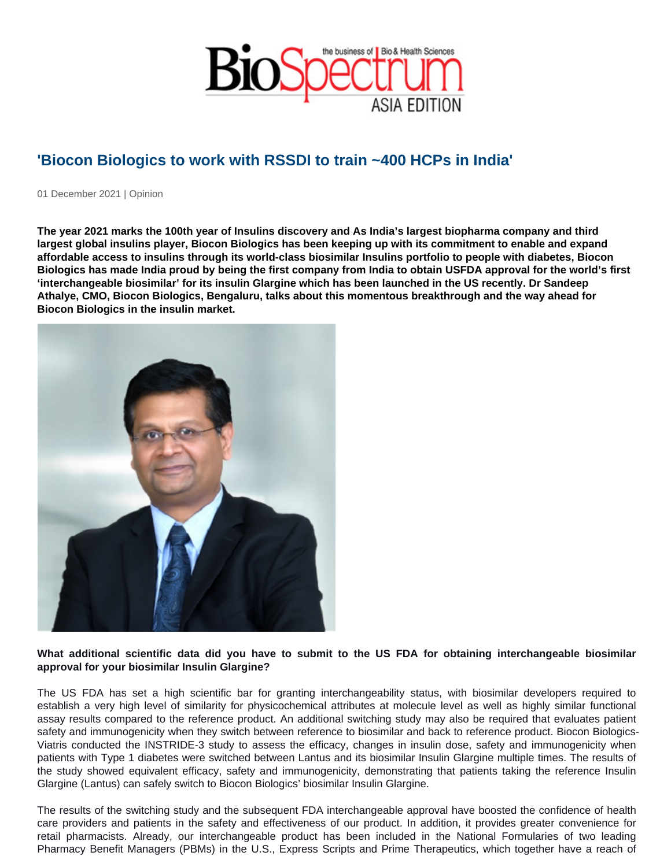## 'Biocon Biologics to work with RSSDI to train ~400 HCPs in India'

01 December 2021 | Opinion

The year 2021 marks the 100th year of Insulins discovery and As India's largest biopharma company and third largest global insulins player, Biocon Biologics has been keeping up with its commitment to enable and expand affordable access to insulins through its world-class biosimilar Insulins portfolio to people with diabetes, Biocon Biologics has made India proud by being the first company from India to obtain USFDA approval for the world's first 'interchangeable biosimilar' for its insulin Glargine which has been launched in the US recently. Dr Sandeep Athalye, CMO, Biocon Biologics, Bengaluru, talks about this momentous breakthrough and the way ahead for Biocon Biologics in the insulin market.

What additional scientific data did you have to submit to the US FDA for obtaining interchangeable biosimilar approval for your biosimilar Insulin Glargine?

The US FDA has set a high scientific bar for granting interchangeability status, with biosimilar developers required to establish a very high level of similarity for physicochemical attributes at molecule level as well as highly similar functional assay results compared to the reference product. An additional switching study may also be required that evaluates patient safety and immunogenicity when they switch between reference to biosimilar and back to reference product. Biocon Biologics-Viatris conducted the INSTRIDE-3 study to assess the efficacy, changes in insulin dose, safety and immunogenicity when patients with Type 1 diabetes were switched between Lantus and its biosimilar Insulin Glargine multiple times. The results of the study showed equivalent efficacy, safety and immunogenicity, demonstrating that patients taking the reference Insulin Glargine (Lantus) can safely switch to Biocon Biologics' biosimilar Insulin Glargine.

The results of the switching study and the subsequent FDA interchangeable approval have boosted the confidence of health care providers and patients in the safety and effectiveness of our product. In addition, it provides greater convenience for retail pharmacists. Already, our interchangeable product has been included in the National Formularies of two leading Pharmacy Benefit Managers (PBMs) in the U.S., Express Scripts and Prime Therapeutics, which together have a reach of